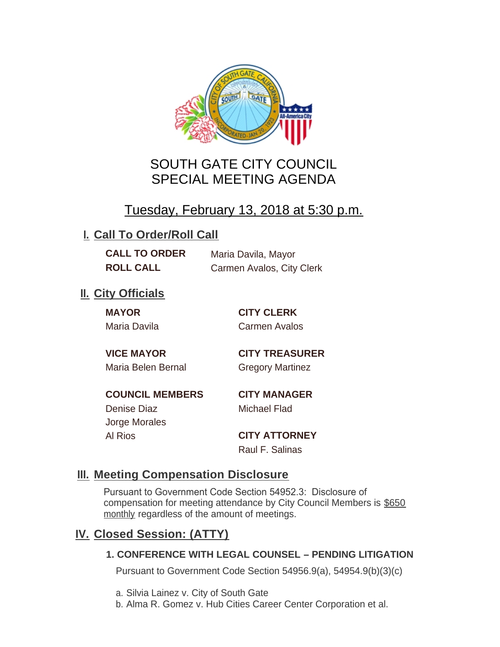

# SOUTH GATE CITY COUNCIL SPECIAL MEETING AGENDA

# Tuesday, February 13, 2018 at 5:30 p.m.

## **I. Call To Order/Roll Call**

**CALL TO ORDER** Maria Davila, Mayor **ROLL CALL** Carmen Avalos, City Clerk

# **II.** City Officials

**MAYOR CITY CLERK**

Maria Davila Carmen Avalos

Maria Belen Bernal **Gregory Martinez** 

**VICE MAYOR CITY TREASURER**

**COUNCIL MEMBERS CITY MANAGER** Denise Diaz Michael Flad

Jorge Morales

Al Rios **CITY ATTORNEY** Raul F. Salinas

### **Meeting Compensation Disclosure III.**

Pursuant to Government Code Section 54952.3: Disclosure of compensation for meeting attendance by City Council Members is \$650 monthly regardless of the amount of meetings.

## **Closed Session: (ATTY) IV.**

#### **1. CONFERENCE WITH LEGAL COUNSEL – PENDING LITIGATION**

Pursuant to Government Code Section 54956.9(a), 54954.9(b)(3)(c)

- a. Silvia Lainez v. City of South Gate
- b. Alma R. Gomez v. Hub Cities Career Center Corporation et al.